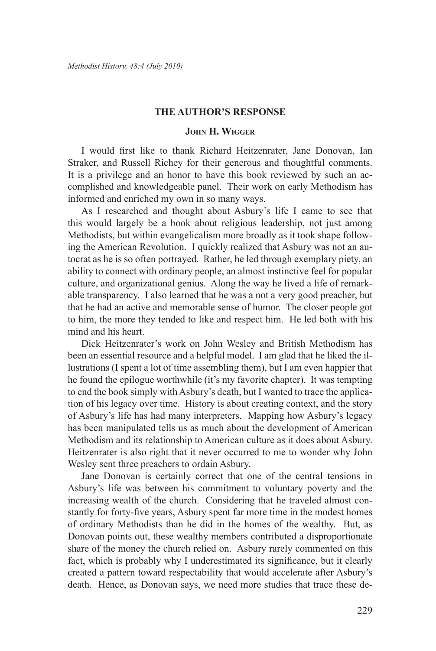## **The Author's Response**

## **John H. Wigger**

I would first like to thank Richard Heitzenrater, Jane Donovan, Ian Straker, and Russell Richey for their generous and thoughtful comments. It is a privilege and an honor to have this book reviewed by such an accomplished and knowledgeable panel. Their work on early Methodism has informed and enriched my own in so many ways.

As I researched and thought about Asbury's life I came to see that this would largely be a book about religious leadership, not just among Methodists, but within evangelicalism more broadly as it took shape following the American Revolution. I quickly realized that Asbury was not an autocrat as he is so often portrayed. Rather, he led through exemplary piety, an ability to connect with ordinary people, an almost instinctive feel for popular culture, and organizational genius. Along the way he lived a life of remarkable transparency. I also learned that he was a not a very good preacher, but that he had an active and memorable sense of humor. The closer people got to him, the more they tended to like and respect him. He led both with his mind and his heart.

Dick Heitzenrater's work on John Wesley and British Methodism has been an essential resource and a helpful model. I am glad that he liked the illustrations (I spent a lot of time assembling them), but I am even happier that he found the epilogue worthwhile (it's my favorite chapter). It was tempting to end the book simply with Asbury's death, but I wanted to trace the application of his legacy over time. History is about creating context, and the story of Asbury's life has had many interpreters. Mapping how Asbury's legacy has been manipulated tells us as much about the development of American Methodism and its relationship to American culture as it does about Asbury. Heitzenrater is also right that it never occurred to me to wonder why John Wesley sent three preachers to ordain Asbury.

Jane Donovan is certainly correct that one of the central tensions in Asbury's life was between his commitment to voluntary poverty and the increasing wealth of the church. Considering that he traveled almost constantly for forty-five years, Asbury spent far more time in the modest homes of ordinary Methodists than he did in the homes of the wealthy. But, as Donovan points out, these wealthy members contributed a disproportionate share of the money the church relied on. Asbury rarely commented on this fact, which is probably why I underestimated its significance, but it clearly created a pattern toward respectability that would accelerate after Asbury's death. Hence, as Donovan says, we need more studies that trace these de